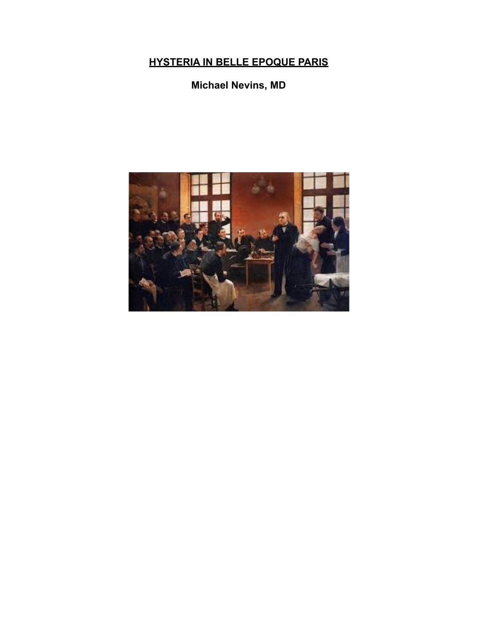## **HYSTERIA IN BELLE EPOQUE PARIS**

## **Michael Nevins, MD**

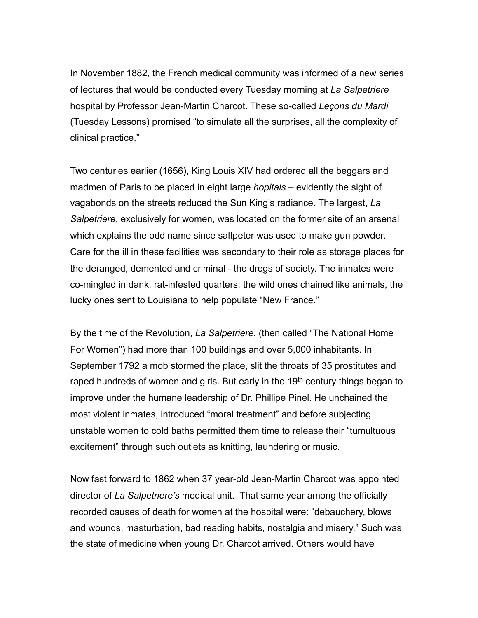In November 1882, the French medical community was informed of a new series of lectures that would be conducted every Tuesday morning at *La Salpetriere* hospital by Professor Jean-Martin Charcot. These so-called *Leçons du Mardi*  (Tuesday Lessons) promised "to simulate all the surprises, all the complexity of clinical practice."

Two centuries earlier (1656), King Louis XIV had ordered all the beggars and madmen of Paris to be placed in eight large *hopitals* – evidently the sight of vagabonds on the streets reduced the Sun King's radiance. The largest, *La Salpetriere*, exclusively for women, was located on the former site of an arsenal which explains the odd name since saltpeter was used to make gun powder. Care for the ill in these facilities was secondary to their role as storage places for the deranged, demented and criminal - the dregs of society. The inmates were co-mingled in dank, rat-infested quarters; the wild ones chained like animals, the lucky ones sent to Louisiana to help populate "New France."

By the time of the Revolution, *La Salpetriere*, (then called "The National Home For Women") had more than 100 buildings and over 5,000 inhabitants. In September 1792 a mob stormed the place, slit the throats of 35 prostitutes and raped hundreds of women and girls. But early in the 19<sup>th</sup> century things began to improve under the humane leadership of Dr. Phillipe Pinel. He unchained the most violent inmates, introduced "moral treatment" and before subjecting unstable women to cold baths permitted them time to release their "tumultuous excitement" through such outlets as knitting, laundering or music.

Now fast forward to 1862 when 37 year-old Jean-Martin Charcot was appointed director of *La Salpetriere's* medical unit. That same year among the officially recorded causes of death for women at the hospital were: "debauchery, blows and wounds, masturbation, bad reading habits, nostalgia and misery." Such was the state of medicine when young Dr. Charcot arrived. Others would have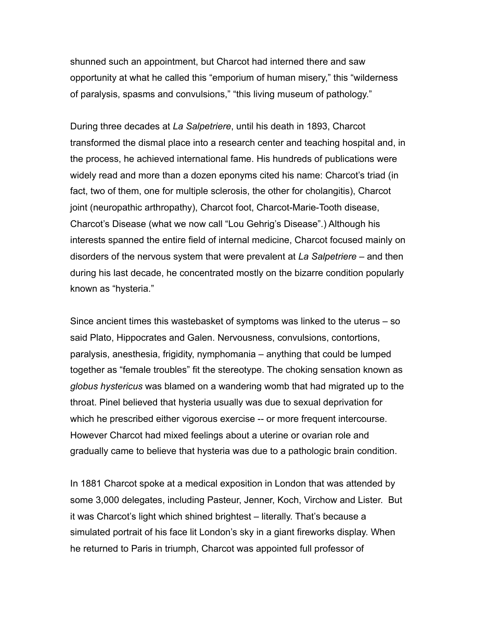shunned such an appointment, but Charcot had interned there and saw opportunity at what he called this "emporium of human misery," this "wilderness of paralysis, spasms and convulsions," "this living museum of pathology."

During three decades at *La Salpetriere*, until his death in 1893, Charcot transformed the dismal place into a research center and teaching hospital and, in the process, he achieved international fame. His hundreds of publications were widely read and more than a dozen eponyms cited his name: Charcot's triad (in fact, two of them, one for multiple sclerosis, the other for cholangitis), Charcot joint (neuropathic arthropathy), Charcot foot, Charcot-Marie-Tooth disease, Charcot's Disease (what we now call "Lou Gehrig's Disease".) Although his interests spanned the entire field of internal medicine, Charcot focused mainly on disorders of the nervous system that were prevalent at *La Salpetriere* – and then during his last decade, he concentrated mostly on the bizarre condition popularly known as "hysteria."

Since ancient times this wastebasket of symptoms was linked to the uterus – so said Plato, Hippocrates and Galen. Nervousness, convulsions, contortions, paralysis, anesthesia, frigidity, nymphomania – anything that could be lumped together as "female troubles" fit the stereotype. The choking sensation known as *globus hystericus* was blamed on a wandering womb that had migrated up to the throat. Pinel believed that hysteria usually was due to sexual deprivation for which he prescribed either vigorous exercise -- or more frequent intercourse. However Charcot had mixed feelings about a uterine or ovarian role and gradually came to believe that hysteria was due to a pathologic brain condition.

In 1881 Charcot spoke at a medical exposition in London that was attended by some 3,000 delegates, including Pasteur, Jenner, Koch, Virchow and Lister. But it was Charcot's light which shined brightest – literally. That's because a simulated portrait of his face lit London's sky in a giant fireworks display. When he returned to Paris in triumph, Charcot was appointed full professor of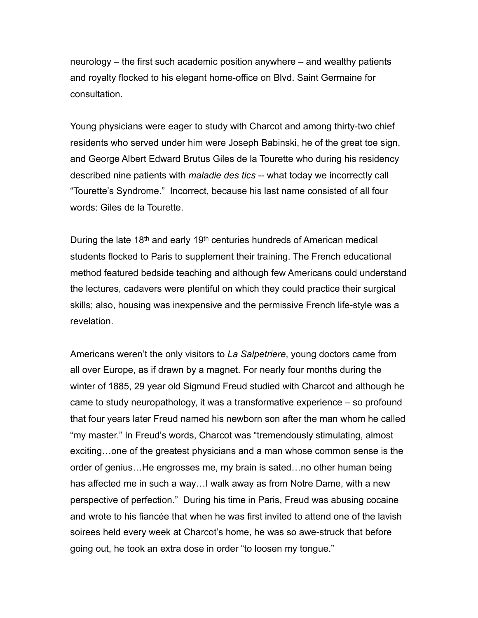neurology – the first such academic position anywhere – and wealthy patients and royalty flocked to his elegant home-office on Blvd. Saint Germaine for consultation.

Young physicians were eager to study with Charcot and among thirty-two chief residents who served under him were Joseph Babinski, he of the great toe sign, and George Albert Edward Brutus Giles de la Tourette who during his residency described nine patients with *maladie des tics* -- what today we incorrectly call "Tourette's Syndrome." Incorrect, because his last name consisted of all four words: Giles de la Tourette.

During the late 18<sup>th</sup> and early 19<sup>th</sup> centuries hundreds of American medical students flocked to Paris to supplement their training. The French educational method featured bedside teaching and although few Americans could understand the lectures, cadavers were plentiful on which they could practice their surgical skills; also, housing was inexpensive and the permissive French life-style was a revelation.

Americans weren't the only visitors to *La Salpetriere*, young doctors came from all over Europe, as if drawn by a magnet. For nearly four months during the winter of 1885, 29 year old Sigmund Freud studied with Charcot and although he came to study neuropathology, it was a transformative experience – so profound that four years later Freud named his newborn son after the man whom he called "my master." In Freud's words, Charcot was "tremendously stimulating, almost exciting…one of the greatest physicians and a man whose common sense is the order of genius…He engrosses me, my brain is sated…no other human being has affected me in such a way…I walk away as from Notre Dame, with a new perspective of perfection." During his time in Paris, Freud was abusing cocaine and wrote to his fiancée that when he was first invited to attend one of the lavish soirees held every week at Charcot's home, he was so awe-struck that before going out, he took an extra dose in order "to loosen my tongue."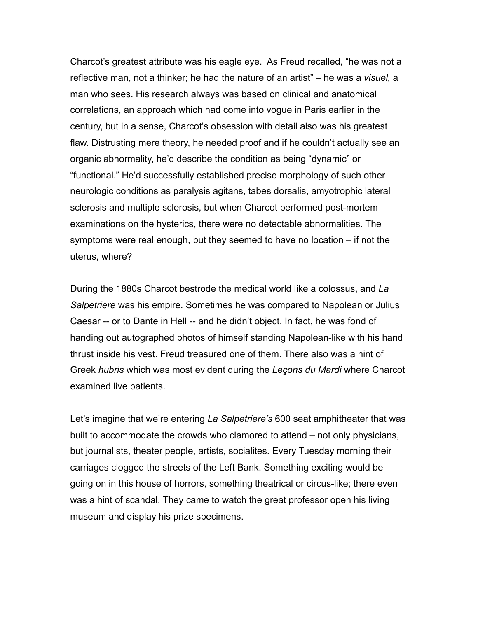Charcot's greatest attribute was his eagle eye. As Freud recalled, "he was not a reflective man, not a thinker; he had the nature of an artist" – he was a *visuel,* a man who sees. His research always was based on clinical and anatomical correlations, an approach which had come into vogue in Paris earlier in the century, but in a sense, Charcot's obsession with detail also was his greatest flaw. Distrusting mere theory, he needed proof and if he couldn't actually see an organic abnormality, he'd describe the condition as being "dynamic" or "functional." He'd successfully established precise morphology of such other neurologic conditions as paralysis agitans, tabes dorsalis, amyotrophic lateral sclerosis and multiple sclerosis, but when Charcot performed post-mortem examinations on the hysterics, there were no detectable abnormalities. The symptoms were real enough, but they seemed to have no location – if not the uterus, where?

During the 1880s Charcot bestrode the medical world like a colossus, and *La Salpetriere* was his empire. Sometimes he was compared to Napolean or Julius Caesar -- or to Dante in Hell -- and he didn't object. In fact, he was fond of handing out autographed photos of himself standing Napolean-like with his hand thrust inside his vest. Freud treasured one of them. There also was a hint of Greek *hubris* which was most evident during the *Leçons du Mardi* where Charcot examined live patients.

Let's imagine that we're entering *La Salpetriere's* 600 seat amphitheater that was built to accommodate the crowds who clamored to attend – not only physicians, but journalists, theater people, artists, socialites. Every Tuesday morning their carriages clogged the streets of the Left Bank. Something exciting would be going on in this house of horrors, something theatrical or circus-like; there even was a hint of scandal. They came to watch the great professor open his living museum and display his prize specimens.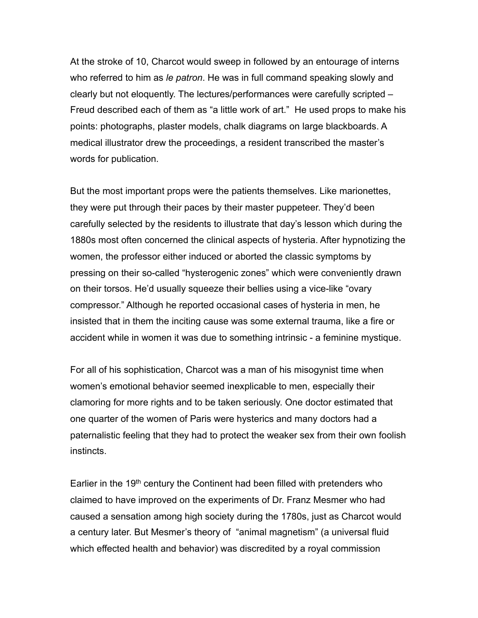At the stroke of 10, Charcot would sweep in followed by an entourage of interns who referred to him as *le patron*. He was in full command speaking slowly and clearly but not eloquently. The lectures/performances were carefully scripted – Freud described each of them as "a little work of art." He used props to make his points: photographs, plaster models, chalk diagrams on large blackboards. A medical illustrator drew the proceedings, a resident transcribed the master's words for publication.

But the most important props were the patients themselves. Like marionettes, they were put through their paces by their master puppeteer. They'd been carefully selected by the residents to illustrate that day's lesson which during the 1880s most often concerned the clinical aspects of hysteria. After hypnotizing the women, the professor either induced or aborted the classic symptoms by pressing on their so-called "hysterogenic zones" which were conveniently drawn on their torsos. He'd usually squeeze their bellies using a vice-like "ovary compressor." Although he reported occasional cases of hysteria in men, he insisted that in them the inciting cause was some external trauma, like a fire or accident while in women it was due to something intrinsic - a feminine mystique.

For all of his sophistication, Charcot was a man of his misogynist time when women's emotional behavior seemed inexplicable to men, especially their clamoring for more rights and to be taken seriously. One doctor estimated that one quarter of the women of Paris were hysterics and many doctors had a paternalistic feeling that they had to protect the weaker sex from their own foolish instincts.

Earlier in the 19<sup>th</sup> century the Continent had been filled with pretenders who claimed to have improved on the experiments of Dr. Franz Mesmer who had caused a sensation among high society during the 1780s, just as Charcot would a century later. But Mesmer's theory of "animal magnetism" (a universal fluid which effected health and behavior) was discredited by a royal commission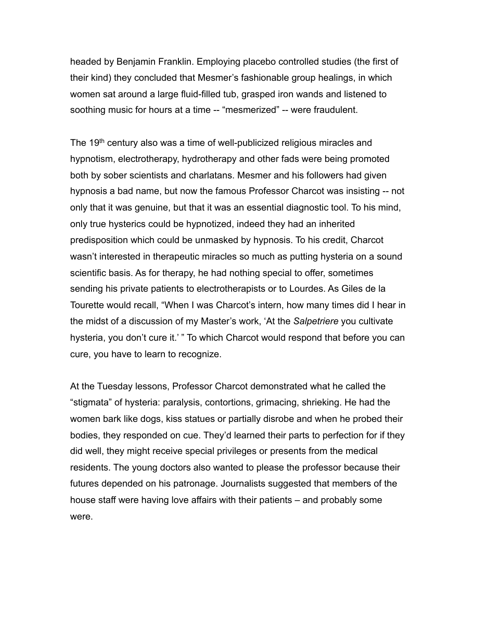headed by Benjamin Franklin. Employing placebo controlled studies (the first of their kind) they concluded that Mesmer's fashionable group healings, in which women sat around a large fluid-filled tub, grasped iron wands and listened to soothing music for hours at a time -- "mesmerized" -- were fraudulent.

The 19<sup>th</sup> century also was a time of well-publicized religious miracles and hypnotism, electrotherapy, hydrotherapy and other fads were being promoted both by sober scientists and charlatans. Mesmer and his followers had given hypnosis a bad name, but now the famous Professor Charcot was insisting -- not only that it was genuine, but that it was an essential diagnostic tool. To his mind, only true hysterics could be hypnotized, indeed they had an inherited predisposition which could be unmasked by hypnosis. To his credit, Charcot wasn't interested in therapeutic miracles so much as putting hysteria on a sound scientific basis. As for therapy, he had nothing special to offer, sometimes sending his private patients to electrotherapists or to Lourdes. As Giles de la Tourette would recall, "When I was Charcot's intern, how many times did I hear in the midst of a discussion of my Master's work, 'At the *Salpetriere* you cultivate hysteria, you don't cure it.' " To which Charcot would respond that before you can cure, you have to learn to recognize.

At the Tuesday lessons, Professor Charcot demonstrated what he called the "stigmata" of hysteria: paralysis, contortions, grimacing, shrieking. He had the women bark like dogs, kiss statues or partially disrobe and when he probed their bodies, they responded on cue. They'd learned their parts to perfection for if they did well, they might receive special privileges or presents from the medical residents. The young doctors also wanted to please the professor because their futures depended on his patronage. Journalists suggested that members of the house staff were having love affairs with their patients – and probably some were.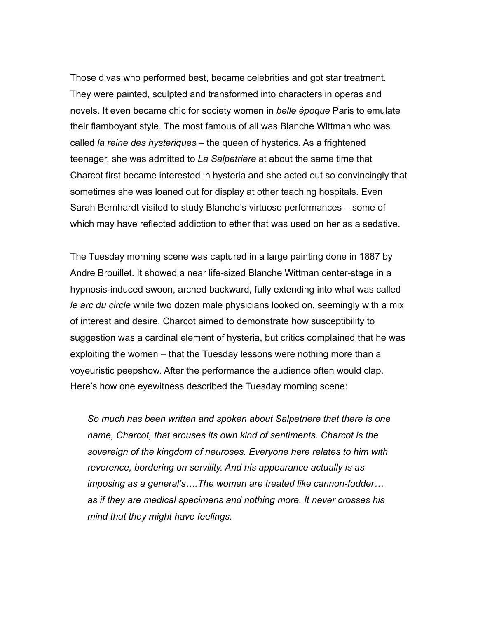Those divas who performed best, became celebrities and got star treatment. They were painted, sculpted and transformed into characters in operas and novels. It even became chic for society women in *belle époque* Paris to emulate their flamboyant style. The most famous of all was Blanche Wittman who was called *la reine des hysteriques* – the queen of hysterics. As a frightened teenager, she was admitted to *La Salpetriere* at about the same time that Charcot first became interested in hysteria and she acted out so convincingly that sometimes she was loaned out for display at other teaching hospitals. Even Sarah Bernhardt visited to study Blanche's virtuoso performances – some of which may have reflected addiction to ether that was used on her as a sedative.

The Tuesday morning scene was captured in a large painting done in 1887 by Andre Brouillet. It showed a near life-sized Blanche Wittman center-stage in a hypnosis-induced swoon, arched backward, fully extending into what was called *le arc du circle* while two dozen male physicians looked on, seemingly with a mix of interest and desire. Charcot aimed to demonstrate how susceptibility to suggestion was a cardinal element of hysteria, but critics complained that he was exploiting the women – that the Tuesday lessons were nothing more than a voyeuristic peepshow. After the performance the audience often would clap. Here's how one eyewitness described the Tuesday morning scene:

*So much has been written and spoken about Salpetriere that there is one name, Charcot, that arouses its own kind of sentiments. Charcot is the sovereign of the kingdom of neuroses. Everyone here relates to him with reverence, bordering on servility. And his appearance actually is as imposing as a general's….The women are treated like cannon-fodder… as if they are medical specimens and nothing more. It never crosses his mind that they might have feelings.*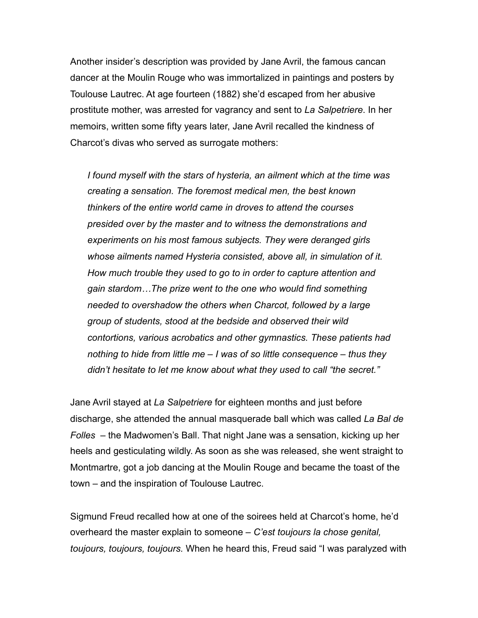Another insider's description was provided by Jane Avril, the famous cancan dancer at the Moulin Rouge who was immortalized in paintings and posters by Toulouse Lautrec. At age fourteen (1882) she'd escaped from her abusive prostitute mother, was arrested for vagrancy and sent to *La Salpetriere*. In her memoirs, written some fifty years later, Jane Avril recalled the kindness of Charcot's divas who served as surrogate mothers:

*I found myself with the stars of hysteria, an ailment which at the time was creating a sensation. The foremost medical men, the best known thinkers of the entire world came in droves to attend the courses presided over by the master and to witness the demonstrations and experiments on his most famous subjects. They were deranged girls whose ailments named Hysteria consisted, above all, in simulation of it. How much trouble they used to go to in order to capture attention and gain stardom…The prize went to the one who would find something needed to overshadow the others when Charcot, followed by a large group of students, stood at the bedside and observed their wild contortions, various acrobatics and other gymnastics. These patients had nothing to hide from little me – I was of so little consequence – thus they didn't hesitate to let me know about what they used to call "the secret."*

Jane Avril stayed at *La Salpetriere* for eighteen months and just before discharge, she attended the annual masquerade ball which was called *La Bal de Folles* – the Madwomen's Ball. That night Jane was a sensation, kicking up her heels and gesticulating wildly. As soon as she was released, she went straight to Montmartre, got a job dancing at the Moulin Rouge and became the toast of the town – and the inspiration of Toulouse Lautrec.

Sigmund Freud recalled how at one of the soirees held at Charcot's home, he'd overheard the master explain to someone – *C'est toujours la chose genital, toujours, toujours, toujours.* When he heard this, Freud said "I was paralyzed with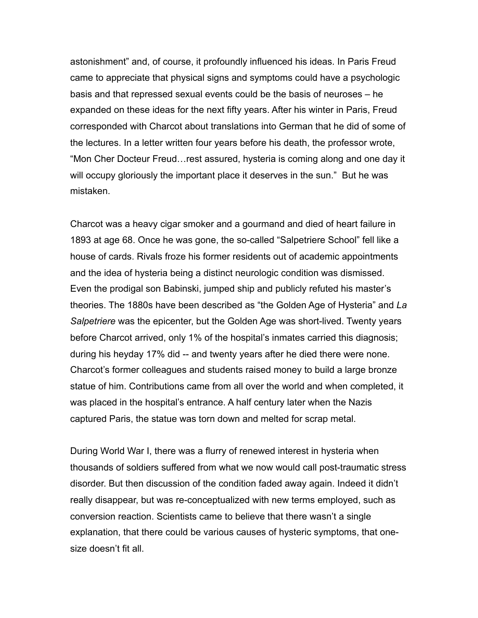astonishment" and, of course, it profoundly influenced his ideas. In Paris Freud came to appreciate that physical signs and symptoms could have a psychologic basis and that repressed sexual events could be the basis of neuroses – he expanded on these ideas for the next fifty years. After his winter in Paris, Freud corresponded with Charcot about translations into German that he did of some of the lectures. In a letter written four years before his death, the professor wrote, "Mon Cher Docteur Freud…rest assured, hysteria is coming along and one day it will occupy gloriously the important place it deserves in the sun." But he was mistaken.

Charcot was a heavy cigar smoker and a gourmand and died of heart failure in 1893 at age 68. Once he was gone, the so-called "Salpetriere School" fell like a house of cards. Rivals froze his former residents out of academic appointments and the idea of hysteria being a distinct neurologic condition was dismissed. Even the prodigal son Babinski, jumped ship and publicly refuted his master's theories. The 1880s have been described as "the Golden Age of Hysteria" and *La Salpetriere* was the epicenter, but the Golden Age was short-lived. Twenty years before Charcot arrived, only 1% of the hospital's inmates carried this diagnosis; during his heyday 17% did -- and twenty years after he died there were none. Charcot's former colleagues and students raised money to build a large bronze statue of him. Contributions came from all over the world and when completed, it was placed in the hospital's entrance. A half century later when the Nazis captured Paris, the statue was torn down and melted for scrap metal.

During World War I, there was a flurry of renewed interest in hysteria when thousands of soldiers suffered from what we now would call post-traumatic stress disorder. But then discussion of the condition faded away again. Indeed it didn't really disappear, but was re-conceptualized with new terms employed, such as conversion reaction. Scientists came to believe that there wasn't a single explanation, that there could be various causes of hysteric symptoms, that onesize doesn't fit all.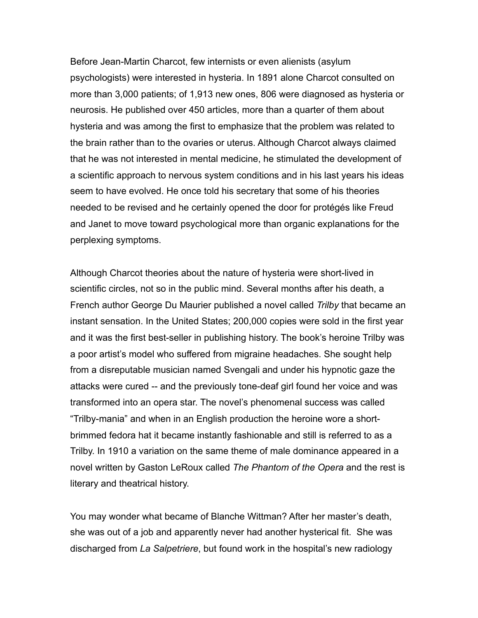Before Jean-Martin Charcot, few internists or even alienists (asylum psychologists) were interested in hysteria. In 1891 alone Charcot consulted on more than 3,000 patients; of 1,913 new ones, 806 were diagnosed as hysteria or neurosis. He published over 450 articles, more than a quarter of them about hysteria and was among the first to emphasize that the problem was related to the brain rather than to the ovaries or uterus. Although Charcot always claimed that he was not interested in mental medicine, he stimulated the development of a scientific approach to nervous system conditions and in his last years his ideas seem to have evolved. He once told his secretary that some of his theories needed to be revised and he certainly opened the door for protégés like Freud and Janet to move toward psychological more than organic explanations for the perplexing symptoms.

Although Charcot theories about the nature of hysteria were short-lived in scientific circles, not so in the public mind. Several months after his death, a French author George Du Maurier published a novel called *Trilby* that became an instant sensation. In the United States; 200,000 copies were sold in the first year and it was the first best-seller in publishing history. The book's heroine Trilby was a poor artist's model who suffered from migraine headaches. She sought help from a disreputable musician named Svengali and under his hypnotic gaze the attacks were cured -- and the previously tone-deaf girl found her voice and was transformed into an opera star. The novel's phenomenal success was called "Trilby-mania" and when in an English production the heroine wore a shortbrimmed fedora hat it became instantly fashionable and still is referred to as a Trilby. In 1910 a variation on the same theme of male dominance appeared in a novel written by Gaston LeRoux called *The Phantom of the Opera* and the rest is literary and theatrical history.

You may wonder what became of Blanche Wittman? After her master's death, she was out of a job and apparently never had another hysterical fit. She was discharged from *La Salpetriere*, but found work in the hospital's new radiology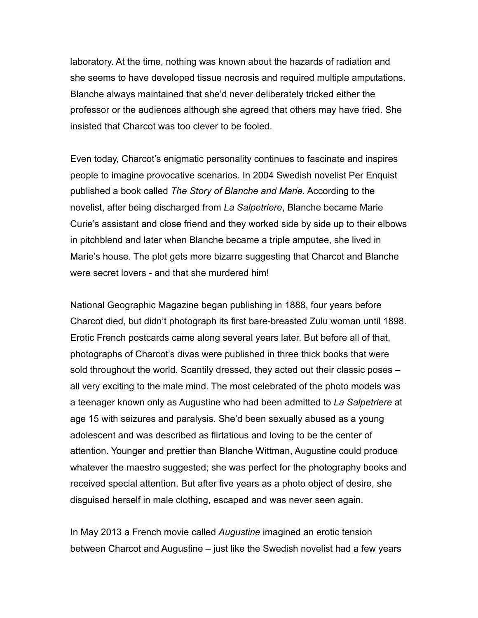laboratory. At the time, nothing was known about the hazards of radiation and she seems to have developed tissue necrosis and required multiple amputations. Blanche always maintained that she'd never deliberately tricked either the professor or the audiences although she agreed that others may have tried. She insisted that Charcot was too clever to be fooled.

Even today, Charcot's enigmatic personality continues to fascinate and inspires people to imagine provocative scenarios. In 2004 Swedish novelist Per Enquist published a book called *The Story of Blanche and Marie*. According to the novelist, after being discharged from *La Salpetriere*, Blanche became Marie Curie's assistant and close friend and they worked side by side up to their elbows in pitchblend and later when Blanche became a triple amputee, she lived in Marie's house. The plot gets more bizarre suggesting that Charcot and Blanche were secret lovers - and that she murdered him!

National Geographic Magazine began publishing in 1888, four years before Charcot died, but didn't photograph its first bare-breasted Zulu woman until 1898. Erotic French postcards came along several years later. But before all of that, photographs of Charcot's divas were published in three thick books that were sold throughout the world. Scantily dressed, they acted out their classic poses – all very exciting to the male mind. The most celebrated of the photo models was a teenager known only as Augustine who had been admitted to *La Salpetriere* at age 15 with seizures and paralysis. She'd been sexually abused as a young adolescent and was described as flirtatious and loving to be the center of attention. Younger and prettier than Blanche Wittman, Augustine could produce whatever the maestro suggested; she was perfect for the photography books and received special attention. But after five years as a photo object of desire, she disguised herself in male clothing, escaped and was never seen again.

In May 2013 a French movie called *Augustine* imagined an erotic tension between Charcot and Augustine – just like the Swedish novelist had a few years